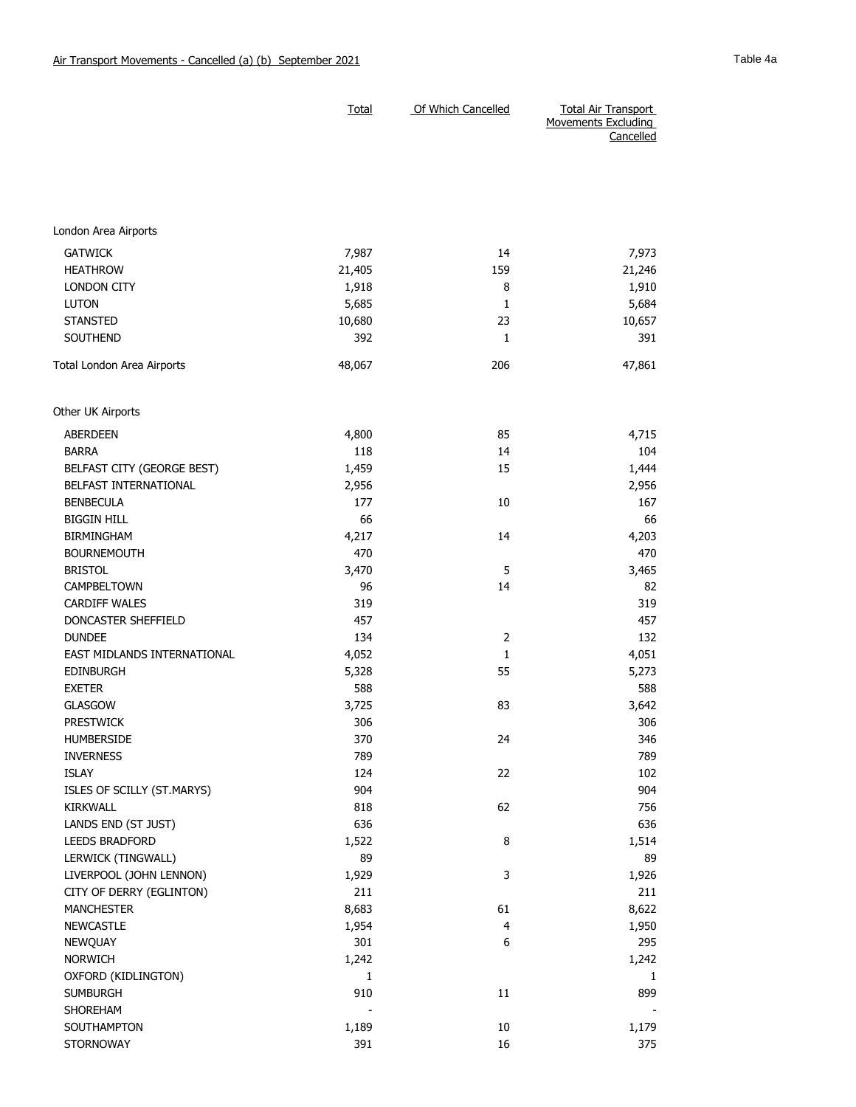|                                                     |              | <b>Movements Excluding</b><br>Cancelled |              |
|-----------------------------------------------------|--------------|-----------------------------------------|--------------|
|                                                     |              |                                         |              |
|                                                     |              |                                         |              |
|                                                     |              |                                         |              |
|                                                     |              |                                         |              |
|                                                     |              |                                         |              |
| London Area Airports                                |              |                                         |              |
| <b>GATWICK</b>                                      | 7,987        | 14                                      | 7,973        |
| <b>HEATHROW</b>                                     | 21,405       | 159                                     | 21,246       |
| LONDON CITY                                         | 1,918        | 8                                       | 1,910        |
| <b>LUTON</b>                                        | 5,685        | 1                                       | 5,684        |
| <b>STANSTED</b>                                     | 10,680       | 23                                      | 10,657       |
| SOUTHEND                                            | 392          | 1                                       | 391          |
| Total London Area Airports                          | 48,067       | 206                                     | 47,861       |
| Other UK Airports                                   |              |                                         |              |
| <b>ABERDEEN</b>                                     | 4,800        | 85                                      | 4,715        |
| <b>BARRA</b>                                        | 118          | 14                                      | 104          |
|                                                     |              | 15                                      |              |
| BELFAST CITY (GEORGE BEST)<br>BELFAST INTERNATIONAL | 1,459        |                                         | 1,444        |
| <b>BENBECULA</b>                                    | 2,956<br>177 | 10                                      | 2,956<br>167 |
| <b>BIGGIN HILL</b>                                  | 66           |                                         | 66           |
| <b>BIRMINGHAM</b>                                   |              | 14                                      |              |
| <b>BOURNEMOUTH</b>                                  | 4,217<br>470 |                                         | 4,203<br>470 |
| <b>BRISTOL</b>                                      |              | 5                                       |              |
| CAMPBELTOWN                                         | 3,470        |                                         | 3,465        |
|                                                     | 96<br>319    | 14                                      | 82<br>319    |
| <b>CARDIFF WALES</b><br>DONCASTER SHEFFIELD         | 457          |                                         | 457          |
| <b>DUNDEE</b>                                       | 134          | $\overline{2}$                          | 132          |
|                                                     | 4,052        | $\mathbf{1}$                            |              |
| EAST MIDLANDS INTERNATIONAL<br><b>EDINBURGH</b>     |              | 55                                      | 4,051        |
| <b>EXETER</b>                                       | 5,328<br>588 |                                         | 5,273<br>588 |
|                                                     |              |                                         |              |
| <b>GLASGOW</b><br><b>PRESTWICK</b>                  | 3,725<br>306 | 83                                      | 3,642<br>306 |
|                                                     | 370          | 24                                      |              |
| <b>HUMBERSIDE</b>                                   |              |                                         | 346          |
| <b>INVERNESS</b><br>ISLAY                           | 789<br>124   | 22                                      | 789          |
|                                                     | 904          |                                         | 102          |
| ISLES OF SCILLY (ST.MARYS)<br>KIRKWALL              |              |                                         | 904          |
|                                                     | 818<br>636   | 62                                      | 756          |
| LANDS END (ST JUST)                                 |              | 8                                       | 636          |
| LEEDS BRADFORD                                      | 1,522<br>89  |                                         | 1,514        |
| LERWICK (TINGWALL)<br>LIVERPOOL (JOHN LENNON)       |              | 3                                       | 89           |
| CITY OF DERRY (EGLINTON)                            | 1,929<br>211 |                                         | 1,926<br>211 |
| <b>MANCHESTER</b>                                   | 8,683        | 61                                      | 8,622        |
| <b>NEWCASTLE</b>                                    | 1,954        | 4                                       |              |
|                                                     |              | 6                                       | 1,950        |
| <b>NEWQUAY</b><br><b>NORWICH</b>                    | 301<br>1,242 |                                         | 295          |
| OXFORD (KIDLINGTON)                                 | 1            |                                         | 1,242        |
| <b>SUMBURGH</b>                                     | 910          | 11                                      | 1<br>899     |
|                                                     |              |                                         |              |
| SHOREHAM<br>SOUTHAMPTON                             |              | 10                                      | 1,179        |
| <b>STORNOWAY</b>                                    | 1,189<br>391 | 16                                      | 375          |
|                                                     |              |                                         |              |

Total Of Which Cancelled Total Air Transport